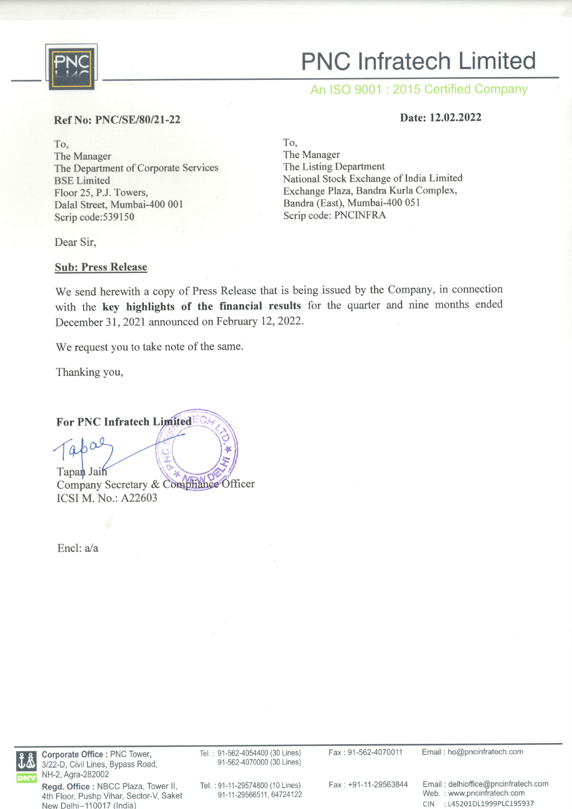

# PNC lnfratech Limited

An ISO 9001 : 2015 Certified Company

# Ref No: PNC/SE/80/21-22 Date: 12.02.2022

To, The Manager The Department of Corporate Services BSE Limited Floor 25, P.J. Towers, Dalal Street, Mumbai-400 001 Scrip code:539150

Dear Sir,

Sub: Press Release

To, The Manager The Listing Department National Stock Exchange of India Limited Exchange Plaza, Bandra Kurla Complex, Bandra (East), Mumbai-4O0 051 Scrip code: PNCINFRA

We send herewith a copy of Press Release that is being issued by the Company, in connection with the key highlights of the financial results for the quarter and nine months ended December 31, 2021 announced on February 12, 2022.

We request you to take note of the same.

Thanking you,

For PNC Infratech

 $\int$ apa Tapan Jain Company Secretary & Comphiance Officer ICSI M. No.: A22603

Encl:  $a/a$ 



Corporate Office : PNC Tower, 3122-D, Civil Lines, Bypass Road, NH-2, Agra-282002

Regd. Office : NBCC Plaza, Tower ll, 4th Floor, Pushp Vihar, Sector-V, Saket New Delhi-110017 (lndia)

Tel. : 91-562-4054400 (30 Lines) 91-562-4070000 (30 Lines)

Fax : 91-562-4070011 Email : ho@pncinfratech.com

Tel. :91-11-29574800 (10 Lines) 91-11-29566511, 64724122

Fax +91-11-29563844 Email : delhioffice@pncinfratech.com Web. : www.pncinfratech.com CIN :145201D11999P1C195937